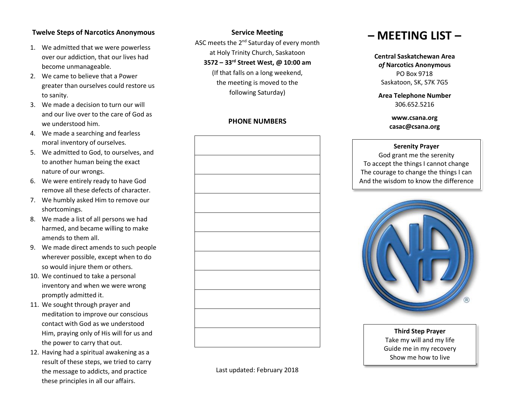## **Twelve Steps of Narcotics Anonymous**

- 1. We admitted that we were powerless over our addiction, that our lives had become unmanageable.
- 2. We came to believe that a Power greater than ourselves could restore us to sanity.
- 3. We made a decision to turn our will and our live over to the care of God as we understood him.
- 4. We made a searching and fearless moral inventory of ourselves.
- 5. We admitted to God, to ourselves, and to another human being the exact nature of our wrongs.
- 6. We were entirely ready to have God remove all these defects of character.
- 7. We humbly asked Him to remove our shortcomings.
- 8. We made a list of all persons we had harmed, and became willing to make amends to them all.
- 9. We made direct amends to such people wherever possible, except when to do so would injure them or others.
- 10. We continued to take a personal inventory and when we were wrong promptly admitted it.
- 11. We sought through prayer and meditation to improve our conscious contact with God as we understood Him, praying only of His will for us and the power to carry that out.
- 12. Having had a spiritual awakening as a result of these steps, we tried to carry the message to addicts, and practice these principles in all our affairs.

### **Service Meeting**

ASC meets the 2<sup>nd</sup> Saturday of every month

#### at Holy Trinity Church, Saskatoon **3572 – 33rd Street West, @ 10:00 am**

(If that falls on a long weekend, the meeting is moved to the following Saturday)

## **PHONE NUMBERS**



Last updated: February 2018

# **– MEETING LIST –**

**Central Saskatchewan Area** *of* **Narcotics Anonymous** PO Box 9718 Saskatoon, SK, S7K 7G5

**Area Telephone Number** 306.652.5216

> **www.csana.org casac@csana.org**

#### **Serenity Prayer**

God grant me the serenity To accept the things I cannot change The courage to change the things I can And the wisdom to know the difference



**Third Step Prayer** Take my will and my life Guide me in my recovery Show me how to live